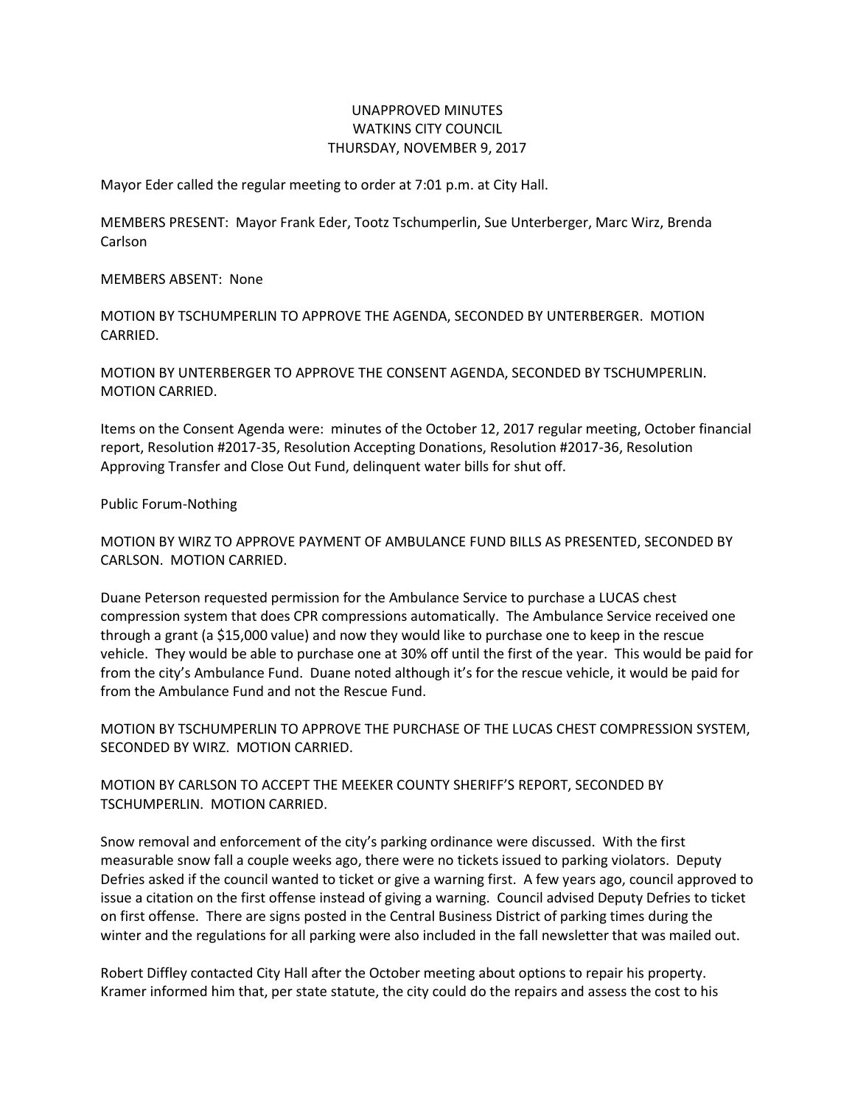## UNAPPROVED MINUTES WATKINS CITY COUNCIL THURSDAY, NOVEMBER 9, 2017

Mayor Eder called the regular meeting to order at 7:01 p.m. at City Hall.

MEMBERS PRESENT: Mayor Frank Eder, Tootz Tschumperlin, Sue Unterberger, Marc Wirz, Brenda Carlson

MEMBERS ABSENT: None

MOTION BY TSCHUMPERLIN TO APPROVE THE AGENDA, SECONDED BY UNTERBERGER. MOTION CARRIED.

MOTION BY UNTERBERGER TO APPROVE THE CONSENT AGENDA, SECONDED BY TSCHUMPERLIN. MOTION CARRIED.

Items on the Consent Agenda were: minutes of the October 12, 2017 regular meeting, October financial report, Resolution #2017-35, Resolution Accepting Donations, Resolution #2017-36, Resolution Approving Transfer and Close Out Fund, delinquent water bills for shut off.

Public Forum-Nothing

MOTION BY WIRZ TO APPROVE PAYMENT OF AMBULANCE FUND BILLS AS PRESENTED, SECONDED BY CARLSON. MOTION CARRIED.

Duane Peterson requested permission for the Ambulance Service to purchase a LUCAS chest compression system that does CPR compressions automatically. The Ambulance Service received one through a grant (a \$15,000 value) and now they would like to purchase one to keep in the rescue vehicle. They would be able to purchase one at 30% off until the first of the year. This would be paid for from the city's Ambulance Fund. Duane noted although it's for the rescue vehicle, it would be paid for from the Ambulance Fund and not the Rescue Fund.

MOTION BY TSCHUMPERLIN TO APPROVE THE PURCHASE OF THE LUCAS CHEST COMPRESSION SYSTEM, SECONDED BY WIRZ. MOTION CARRIED.

MOTION BY CARLSON TO ACCEPT THE MEEKER COUNTY SHERIFF'S REPORT, SECONDED BY TSCHUMPERLIN. MOTION CARRIED.

Snow removal and enforcement of the city's parking ordinance were discussed. With the first measurable snow fall a couple weeks ago, there were no tickets issued to parking violators. Deputy Defries asked if the council wanted to ticket or give a warning first. A few years ago, council approved to issue a citation on the first offense instead of giving a warning. Council advised Deputy Defries to ticket on first offense. There are signs posted in the Central Business District of parking times during the winter and the regulations for all parking were also included in the fall newsletter that was mailed out.

Robert Diffley contacted City Hall after the October meeting about options to repair his property. Kramer informed him that, per state statute, the city could do the repairs and assess the cost to his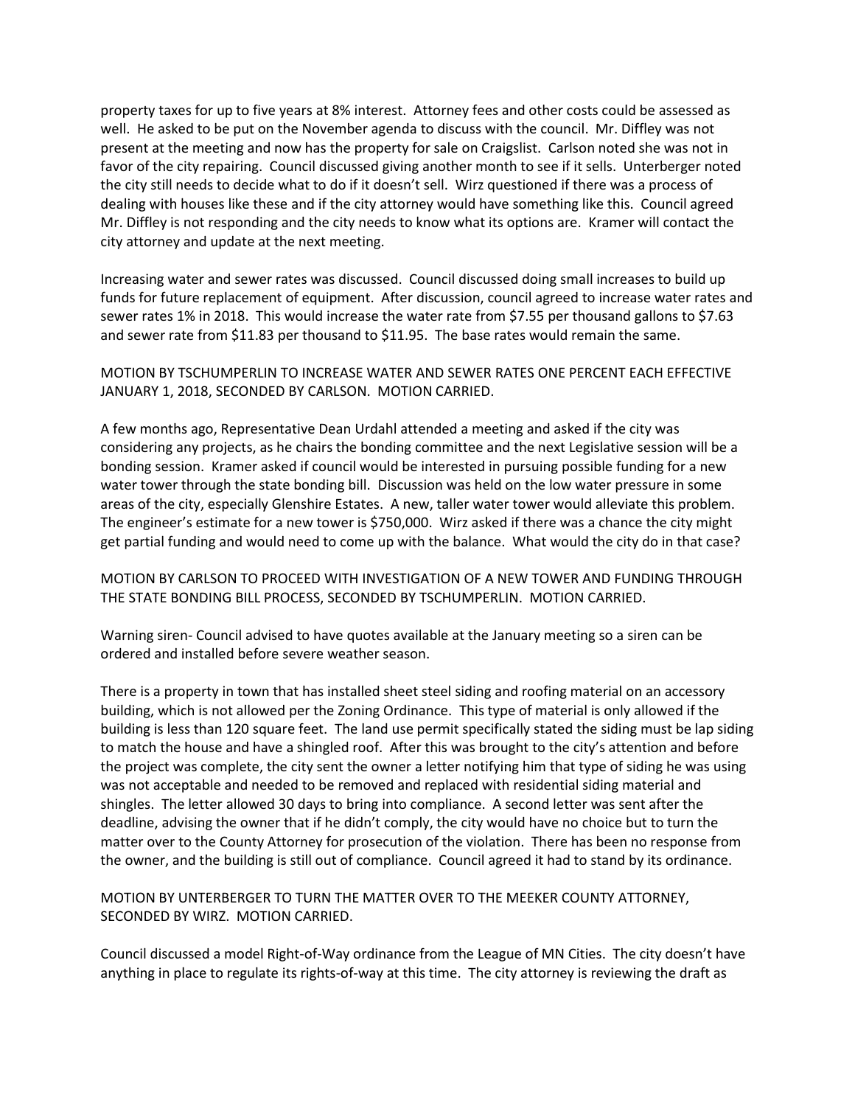property taxes for up to five years at 8% interest. Attorney fees and other costs could be assessed as well. He asked to be put on the November agenda to discuss with the council. Mr. Diffley was not present at the meeting and now has the property for sale on Craigslist. Carlson noted she was not in favor of the city repairing. Council discussed giving another month to see if it sells. Unterberger noted the city still needs to decide what to do if it doesn't sell. Wirz questioned if there was a process of dealing with houses like these and if the city attorney would have something like this. Council agreed Mr. Diffley is not responding and the city needs to know what its options are. Kramer will contact the city attorney and update at the next meeting.

Increasing water and sewer rates was discussed. Council discussed doing small increases to build up funds for future replacement of equipment. After discussion, council agreed to increase water rates and sewer rates 1% in 2018. This would increase the water rate from \$7.55 per thousand gallons to \$7.63 and sewer rate from \$11.83 per thousand to \$11.95. The base rates would remain the same.

MOTION BY TSCHUMPERLIN TO INCREASE WATER AND SEWER RATES ONE PERCENT EACH EFFECTIVE JANUARY 1, 2018, SECONDED BY CARLSON. MOTION CARRIED.

A few months ago, Representative Dean Urdahl attended a meeting and asked if the city was considering any projects, as he chairs the bonding committee and the next Legislative session will be a bonding session. Kramer asked if council would be interested in pursuing possible funding for a new water tower through the state bonding bill. Discussion was held on the low water pressure in some areas of the city, especially Glenshire Estates. A new, taller water tower would alleviate this problem. The engineer's estimate for a new tower is \$750,000. Wirz asked if there was a chance the city might get partial funding and would need to come up with the balance. What would the city do in that case?

## MOTION BY CARLSON TO PROCEED WITH INVESTIGATION OF A NEW TOWER AND FUNDING THROUGH THE STATE BONDING BILL PROCESS, SECONDED BY TSCHUMPERLIN. MOTION CARRIED.

Warning siren- Council advised to have quotes available at the January meeting so a siren can be ordered and installed before severe weather season.

There is a property in town that has installed sheet steel siding and roofing material on an accessory building, which is not allowed per the Zoning Ordinance. This type of material is only allowed if the building is less than 120 square feet. The land use permit specifically stated the siding must be lap siding to match the house and have a shingled roof. After this was brought to the city's attention and before the project was complete, the city sent the owner a letter notifying him that type of siding he was using was not acceptable and needed to be removed and replaced with residential siding material and shingles. The letter allowed 30 days to bring into compliance. A second letter was sent after the deadline, advising the owner that if he didn't comply, the city would have no choice but to turn the matter over to the County Attorney for prosecution of the violation. There has been no response from the owner, and the building is still out of compliance. Council agreed it had to stand by its ordinance.

MOTION BY UNTERBERGER TO TURN THE MATTER OVER TO THE MEEKER COUNTY ATTORNEY, SECONDED BY WIRZ. MOTION CARRIED.

Council discussed a model Right-of-Way ordinance from the League of MN Cities. The city doesn't have anything in place to regulate its rights-of-way at this time. The city attorney is reviewing the draft as